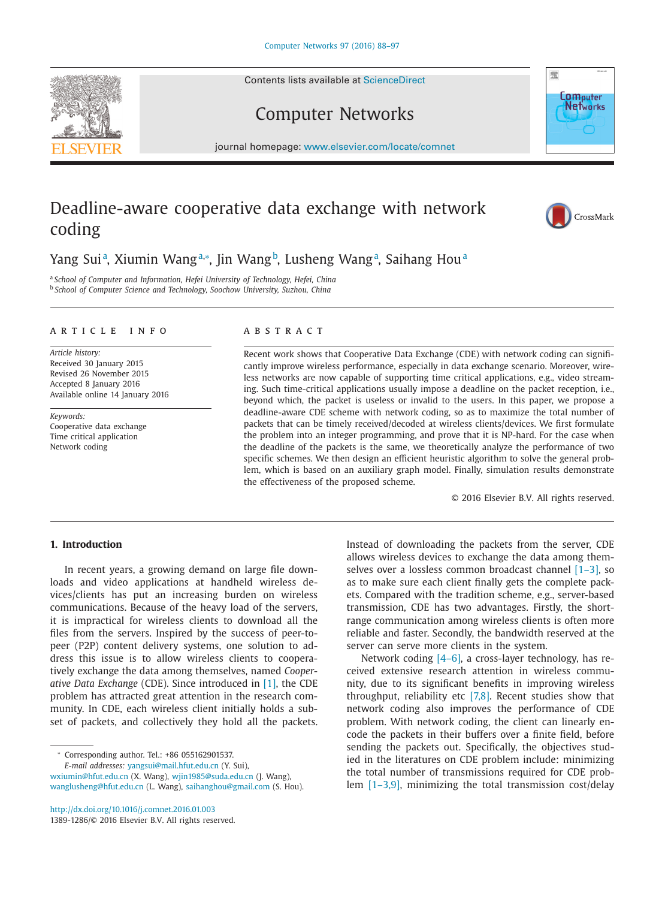Contents lists available at [ScienceDirect](http://www.ScienceDirect.com)

# Computer Networks

journal homepage: [www.elsevier.com/locate/comnet](http://www.elsevier.com/locate/comnet)

## Deadline-aware cooperative data exchange with network coding

### Yang Suiª, Xiumin Wangª.∗, Jin Wang<sup>b</sup>, Lusheng Wangª, Saihang Houª

<sup>a</sup> *School of Computer and Information, Hefei University of Technology, Hefei, China* <sup>b</sup> *School of Computer Science and Technology, Soochow University, Suzhou, China*

#### article info

*Article history:* Received 30 January 2015 Revised 26 November 2015 Accepted 8 January 2016 Available online 14 January 2016

*Keywords:* Cooperative data exchange Time critical application Network coding

#### **ARSTRACT**

Recent work shows that Cooperative Data Exchange (CDE) with network coding can significantly improve wireless performance, especially in data exchange scenario. Moreover, wireless networks are now capable of supporting time critical applications, e.g., video streaming. Such time-critical applications usually impose a deadline on the packet reception, i.e., beyond which, the packet is useless or invalid to the users. In this paper, we propose a deadline-aware CDE scheme with network coding, so as to maximize the total number of packets that can be timely received/decoded at wireless clients/devices. We first formulate the problem into an integer programming, and prove that it is NP-hard. For the case when the deadline of the packets is the same, we theoretically analyze the performance of two specific schemes. We then design an efficient heuristic algorithm to solve the general problem, which is based on an auxiliary graph model. Finally, simulation results demonstrate the effectiveness of the proposed scheme.

© 2016 Elsevier B.V. All rights reserved.

#### **1. Introduction**

In recent years, a growing demand on large file downloads and video applications at handheld wireless devices/clients has put an increasing burden on wireless communications. Because of the heavy load of the servers, it is impractical for wireless clients to download all the files from the servers. Inspired by the success of peer-topeer (P2P) content delivery systems, one solution to address this issue is to allow wireless clients to cooperatively exchange the data among themselves, named *Cooperative Data Exchange* (CDE). Since introduced in [\[1\],](#page--1-0) the CDE problem has attracted great attention in the research community. In CDE, each wireless client initially holds a subset of packets, and collectively they hold all the packets.

<sup>∗</sup> Corresponding author. Tel.: +86 055162901537. *E-mail addresses:* [yangsui@mail.hfut.edu.cn](mailto:yangsui@mail.hfut.edu.cn) (Y. Sui), wxiumin@hfut.edu.cn (X. Wang), [wjin1985@suda.edu.cn](mailto:wjin1985@suda.edu.cn) (J. Wang), [wanglusheng@hfut.edu.cn](mailto:wanglusheng@hfut.edu.cn) (L. Wang), [saihanghou@gmail.com](mailto:saihanghou@gmail.com) (S. Hou).

<http://dx.doi.org/10.1016/j.comnet.2016.01.003> 1389-1286/© 2016 Elsevier B.V. All rights reserved. Instead of downloading the packets from the server, CDE allows wireless devices to exchange the data among themselves over a lossless common broadcast channel  $[1-3]$ , so as to make sure each client finally gets the complete packets. Compared with the tradition scheme, e.g., server-based transmission, CDE has two advantages. Firstly, the shortrange communication among wireless clients is often more reliable and faster. Secondly, the bandwidth reserved at the server can serve more clients in the system.

Network coding [\[4–6\],](#page--1-0) a cross-layer technology, has received extensive research attention in wireless community, due to its significant benefits in improving wireless throughput, reliability etc  $[7,8]$ . Recent studies show that network coding also improves the performance of CDE problem. With network coding, the client can linearly encode the packets in their buffers over a finite field, before sending the packets out. Specifically, the objectives studied in the literatures on CDE problem include: minimizing the total number of transmissions required for CDE problem [\[1–3,9\],](#page--1-0) minimizing the total transmission cost/delay





**Computer** Networks

骤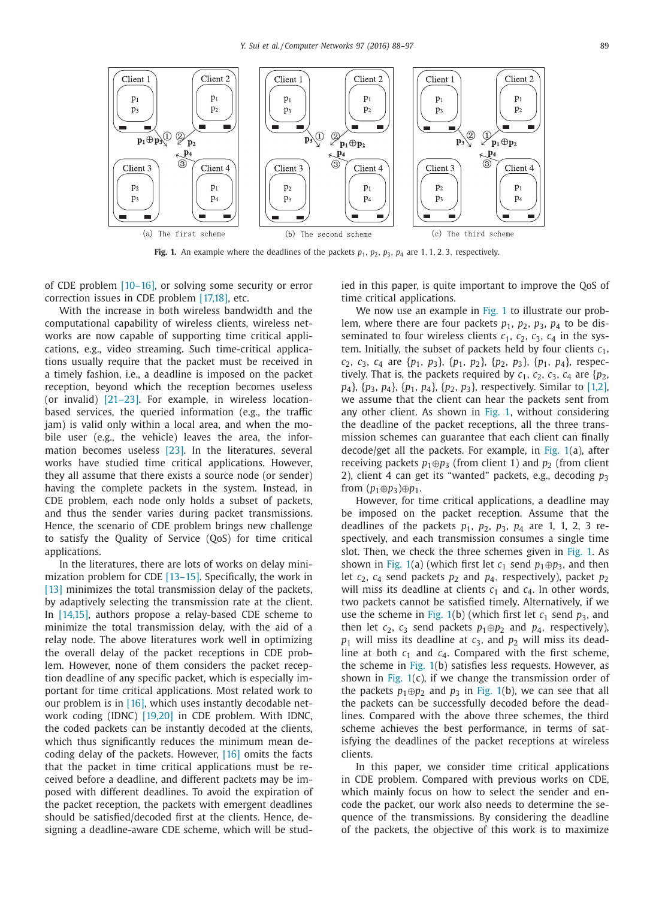

**Fig. 1.** An example where the deadlines of the packets  $p_1$ ,  $p_2$ ,  $p_3$ ,  $p_4$  are 1, 1, 2, 3, respectively.

of CDE problem [\[10–16\],](#page--1-0) or solving some security or error correction issues in CDE problem [\[17,18\],](#page--1-0) etc.

With the increase in both wireless bandwidth and the computational capability of wireless clients, wireless networks are now capable of supporting time critical applications, e.g., video streaming. Such time-critical applications usually require that the packet must be received in a timely fashion, i.e., a deadline is imposed on the packet reception, beyond which the reception becomes useless (or invalid) [\[21–23\].](#page--1-0) For example, in wireless locationbased services, the queried information (e.g., the traffic jam) is valid only within a local area, and when the mobile user (e.g., the vehicle) leaves the area, the information becomes useless [\[23\].](#page--1-0) In the literatures, several works have studied time critical applications. However, they all assume that there exists a source node (or sender) having the complete packets in the system. Instead, in CDE problem, each node only holds a subset of packets, and thus the sender varies during packet transmissions. Hence, the scenario of CDE problem brings new challenge to satisfy the Quality of Service (QoS) for time critical applications.

In the literatures, there are lots of works on delay mini-mization problem for CDE [\[13–15\].](#page--1-0) Specifically, the work in [\[13\]](#page--1-0) minimizes the total transmission delay of the packets, by adaptively selecting the transmission rate at the client. In [\[14,15\],](#page--1-0) authors propose a relay-based CDE scheme to minimize the total transmission delay, with the aid of a relay node. The above literatures work well in optimizing the overall delay of the packet receptions in CDE problem. However, none of them considers the packet reception deadline of any specific packet, which is especially important for time critical applications. Most related work to our problem is in [\[16\],](#page--1-0) which uses instantly decodable network coding (IDNC) [\[19,20\]](#page--1-0) in CDE problem. With IDNC, the coded packets can be instantly decoded at the clients, which thus significantly reduces the minimum mean decoding delay of the packets. However, [\[16\]](#page--1-0) omits the facts that the packet in time critical applications must be received before a deadline, and different packets may be imposed with different deadlines. To avoid the expiration of the packet reception, the packets with emergent deadlines should be satisfied/decoded first at the clients. Hence, designing a deadline-aware CDE scheme, which will be studied in this paper, is quite important to improve the QoS of time critical applications.

We now use an example in Fig. 1 to illustrate our problem, where there are four packets  $p_1$ ,  $p_2$ ,  $p_3$ ,  $p_4$  to be disseminated to four wireless clients  $c_1$ ,  $c_2$ ,  $c_3$ ,  $c_4$  in the system. Initially, the subset of packets held by four clients  $c_1$ , *c*2, *c*3, *c*<sup>4</sup> are {*p*1, *p*3}, {*p*1, *p*2}, {*p*2, *p*3}, {*p*1, *p*4}, respectively. That is, the packets required by  $c_1$ ,  $c_2$ ,  $c_3$ ,  $c_4$  are  $\{p_2$ , *p*4}, {*p*3, *p*4}, {*p*1, *p*4}, {*p*2, *p*3}, respectively. Similar to [\[1,2\],](#page--1-0) we assume that the client can hear the packets sent from any other client. As shown in Fig. 1, without considering the deadline of the packet receptions, all the three transmission schemes can guarantee that each client can finally decode/get all the packets. For example, in Fig. 1(a), after receiving packets  $p_1 \oplus p_3$  (from client 1) and  $p_2$  (from client 2), client 4 can get its "wanted" packets, e.g., decoding *p*<sup>3</sup> from  $(p_1 \oplus p_3) \oplus p_1$ .

However, for time critical applications, a deadline may be imposed on the packet reception. Assume that the deadlines of the packets  $p_1$ ,  $p_2$ ,  $p_3$ ,  $p_4$  are 1, 1, 2, 3 respectively, and each transmission consumes a single time slot. Then, we check the three schemes given in Fig. 1. As shown in Fig. 1(a) (which first let  $c_1$  send  $p_1 \oplus p_3$ , and then let *c*2, *c*<sup>4</sup> send packets *p*<sup>2</sup> and *p*4, respectively), packet *p*<sup>2</sup> will miss its deadline at clients  $c_1$  and  $c_4$ . In other words, two packets cannot be satisfied timely. Alternatively, if we use the scheme in Fig. 1(b) (which first let  $c_1$  send  $p_3$ , and then let  $c_2$ ,  $c_3$  send packets  $p_1 \oplus p_2$  and  $p_4$ , respectively),  $p_1$  will miss its deadline at  $c_3$ , and  $p_2$  will miss its deadline at both  $c_1$  and  $c_4$ . Compared with the first scheme, the scheme in Fig. 1(b) satisfies less requests. However, as shown in Fig.  $1(c)$ , if we change the transmission order of the packets  $p_1 \oplus p_2$  and  $p_3$  in Fig. 1(b), we can see that all the packets can be successfully decoded before the deadlines. Compared with the above three schemes, the third scheme achieves the best performance, in terms of satisfying the deadlines of the packet receptions at wireless clients.

In this paper, we consider time critical applications in CDE problem. Compared with previous works on CDE, which mainly focus on how to select the sender and encode the packet, our work also needs to determine the sequence of the transmissions. By considering the deadline of the packets, the objective of this work is to maximize